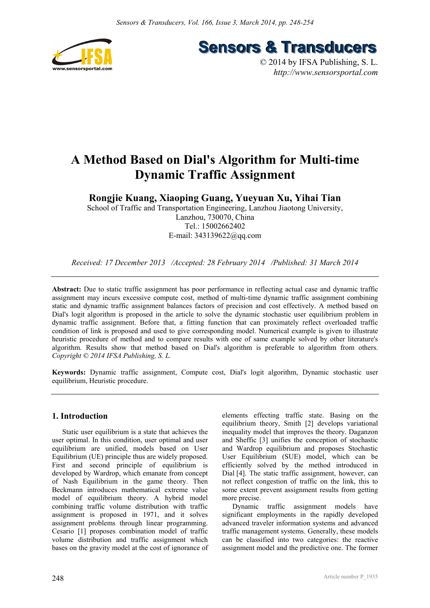

**Sensors & Transducers** 

© 2014 by IFSA Publishing, S. L. *http://www.sensorsportal.com*

# **A Method Based on Dial's Algorithm for Multi-time Dynamic Traffic Assignment**

**Rongjie Kuang, Xiaoping Guang, Yueyuan Xu, Yihai Tian** 

School of Traffic and Transportation Engineering, Lanzhou Jiaotong University, Lanzhou, 730070, China Tel.: 15002662402 E-mail: 343139622@qq.com

*Received: 17 December 2013 /Accepted: 28 February 2014 /Published: 31 March 2014* 

**Abstract:** Due to static traffic assignment has poor performance in reflecting actual case and dynamic traffic assignment may incurs excessive compute cost, method of multi-time dynamic traffic assignment combining static and dynamic traffic assignment balances factors of precision and cost effectively. A method based on Dial's logit algorithm is proposed in the article to solve the dynamic stochastic user equilibrium problem in dynamic traffic assignment. Before that, a fitting function that can proximately reflect overloaded traffic condition of link is proposed and used to give corresponding model. Numerical example is given to illustrate heuristic procedure of method and to compare results with one of same example solved by other literature's algorithm. Results show that method based on Dial's algorithm is preferable to algorithm from others. *Copyright © 2014 IFSA Publishing, S. L.*

**Keywords:** Dynamic traffic assignment, Compute cost, Dial's logit algorithm, Dynamic stochastic user equilibrium, Heuristic procedure.

# **1. Introduction**

Static user equilibrium is a state that achieves the user optimal. In this condition, user optimal and user equilibrium are unified, models based on User Equilibrium (UE) principle thus are widely proposed. First and second principle of equilibrium is developed by Wardrop, which emanate from concept of Nash Equilibrium in the game theory. Then Beckmann introduces mathematical extreme value model of equilibrium theory. A hybrid model combining traffic volume distribution with traffic assignment is proposed in 1971, and it solves assignment problems through linear programming. Cesario [1] proposes combination model of traffic volume distribution and traffic assignment which bases on the gravity model at the cost of ignorance of

elements effecting traffic state. Basing on the equilibrium theory, Smith [2] develops variational inequality model that improves the theory. Daganzon and Sheffic [3] unifies the conception of stochastic and Wardrop equilibrium and proposes Stochastic User Equilibrium (SUE) model, which can be efficiently solved by the method introduced in Dial [4]. The static traffic assignment, however, can not reflect congestion of traffic on the link, this to some extent prevent assignment results from getting more precise.

Dynamic traffic assignment models have significant employments in the rapidly developed advanced traveler information systems and advanced traffic management systems. Generally, these models can be classified into two categories: the reactive assignment model and the predictive one. The former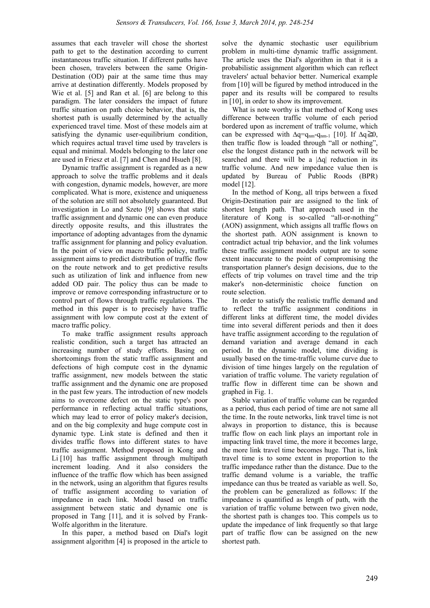assumes that each traveler will chose the shortest path to get to the destination according to current instantaneous traffic situation. If different paths have been chosen, travelers between the same Origin-Destination (OD) pair at the same time thus may arrive at destination differently. Models proposed by Wie et al. [5] and Ran et al. [6] are belong to this paradigm. The later considers the impact of future traffic situation on path choice behavior, that is, the shortest path is usually determined by the actually experienced travel time. Most of these models aim at satisfying the dynamic user-equilibrium condition, which requires actual travel time used by travelers is equal and minimal. Models belonging to the later one are used in Friesz et al. [7] and Chen and Hsueh [8].

Dynamic traffic assignment is regarded as a new approach to solve the traffic problems and it deals with congestion, dynamic models, however, are more complicated. What is more, existence and uniqueness of the solution are still not absolutely guaranteed. But investigation in Lo and Szeto [9] shows that static traffic assignment and dynamic one can even produce directly opposite results, and this illustrates the importance of adopting advantages from the dynamic traffic assignment for planning and policy evaluation. In the point of view on macro traffic policy, traffic assignment aims to predict distribution of traffic flow on the route network and to get predictive results such as utilization of link and influence from new added OD pair. The policy thus can be made to improve or remove corresponding infrastructure or to control part of flows through traffic regulations. The method in this paper is to precisely have traffic assignment with low compute cost at the extent of macro traffic policy.

To make traffic assignment results approach realistic condition, such a target has attracted an increasing number of study efforts. Basing on shortcomings from the static traffic assignment and defections of high compute cost in the dynamic traffic assignment, new models between the static traffic assignment and the dynamic one are proposed in the past few years. The introduction of new models aims to overcome defect on the static type's poor performance in reflecting actual traffic situations, which may lead to error of policy maker's decision, and on the big complexity and huge compute cost in dynamic type. Link state is defined and then it divides traffic flows into different states to have traffic assignment. Method proposed in Kong and Li [10] has traffic assignment through multipath increment loading. And it also considers the influence of the traffic flow which has been assigned in the network, using an algorithm that figures results of traffic assignment according to variation of impedance in each link. Model based on traffic assignment between static and dynamic one is proposed in Tang [11], and it is solved by Frank-Wolfe algorithm in the literature.

In this paper, a method based on Dial's logit assignment algorithm [4] is proposed in the article to

solve the dynamic stochastic user equilibrium problem in multi-time dynamic traffic assignment. The article uses the Dial's algorithm in that it is a probabilistic assignment algorithm which can reflect travelers' actual behavior better. Numerical example from [10] will be figured by method introduced in the paper and its results will be compared to results in [10], in order to show its improvement.

What is note worthy is that method of Kong uses difference between traffic volume of each period bordered upon as increment of traffic volume, which can be expressed with  $\Delta q = q_{nm} - q_{nm-1}$  [10]. If  $\Delta q \ge 0$ , then traffic flow is loaded through "all or nothing", else the longest distance path in the network will be searched and there will be a |∆q| reduction in its traffic volume. And new impedance value then is updated by Bureau of Public Roods (BPR) model [12].

In the method of Kong, all trips between a fixed Origin-Destination pair are assigned to the link of shortest length path. That approach used in the literature of Kong is so-called "all-or-nothing" (AON) assignment, which assigns all traffic flows on the shortest path. AON assignment is known to contradict actual trip behavior, and the link volumes these traffic assignment models output are to some extent inaccurate to the point of compromising the transportation planner's design decisions, due to the effects of trip volumes on travel time and the trip maker's non-deterministic choice function on route selection.

In order to satisfy the realistic traffic demand and to reflect the traffic assignment conditions in different links at different time, the model divides time into several different periods and then it does have traffic assignment according to the regulation of demand variation and average demand in each period. In the dynamic model, time dividing is usually based on the time-traffic volume curve due to division of time hinges largely on the regulation of variation of traffic volume. The variety regulation of traffic flow in different time can be shown and graphed in Fig. 1.

Stable variation of traffic volume can be regarded as a period, thus each period of time are not same all the time. In the route networks, link travel time is not always in proportion to distance, this is because traffic flow on each link plays an important role in impacting link travel time, the more it becomes large, the more link travel time becomes huge. That is, link travel time is to some extent in proportion to the traffic impedance rather than the distance. Due to the traffic demand volume is a variable, the traffic impedance can thus be treated as variable as well. So, the problem can be generalized as follows: If the impedance is quantified as length of path, with the variation of traffic volume between two given node, the shortest path is changes too. This compels us to update the impedance of link frequently so that large part of traffic flow can be assigned on the new shortest path.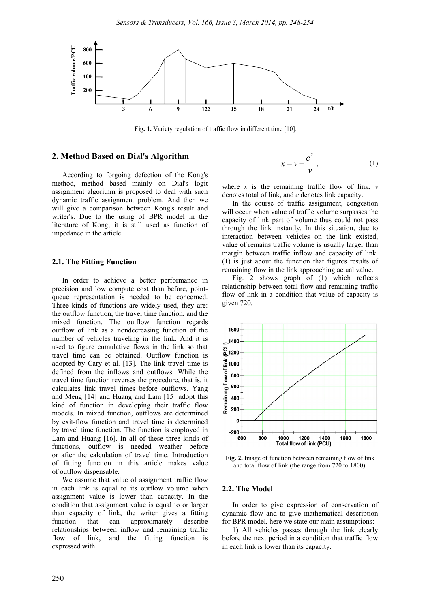

**Fig. 1.** Variety regulation of traffic flow in different time [10].

# **2. Method Based on Dial's Algorithm**

According to forgoing defection of the Kong's method, method based mainly on Dial's logit assignment algorithm is proposed to deal with such dynamic traffic assignment problem. And then we will give a comparison between Kong's result and writer's. Due to the using of BPR model in the literature of Kong, it is still used as function of impedance in the article.

#### **2.1. The Fitting Function**

In order to achieve a better performance in precision and low compute cost than before, pointqueue representation is needed to be concerned. Three kinds of functions are widely used, they are: the outflow function, the travel time function, and the mixed function. The outflow function regards outflow of link as a nondecreasing function of the number of vehicles traveling in the link. And it is used to figure cumulative flows in the link so that travel time can be obtained. Outflow function is adopted by Cary et al. [13]. The link travel time is defined from the inflows and outflows. While the travel time function reverses the procedure, that is, it calculates link travel times before outflows. Yang and Meng [14] and Huang and Lam [15] adopt this kind of function in developing their traffic flow models. In mixed function, outflows are determined by exit-flow function and travel time is determined by travel time function. The function is employed in Lam and Huang [16]. In all of these three kinds of functions, outflow is needed weather before or after the calculation of travel time. Introduction of fitting function in this article makes value of outflow dispensable.

We assume that value of assignment traffic flow in each link is equal to its outflow volume when assignment value is lower than capacity. In the condition that assignment value is equal to or larger than capacity of link, the writer gives a fitting function that can approximately describe relationships between inflow and remaining traffic flow of link, and the fitting function is expressed with:

$$
x = v - \frac{c^2}{v}, \tag{1}
$$

where  $x$  is the remaining traffic flow of link,  $v$ denotes total of link, and *c* denotes link capacity.

In the course of traffic assignment, congestion will occur when value of traffic volume surpasses the capacity of link part of volume thus could not pass through the link instantly. In this situation, due to interaction between vehicles on the link existed, value of remains traffic volume is usually larger than margin between traffic inflow and capacity of link. (1) is just about the function that figures results of remaining flow in the link approaching actual value.

Fig. 2 shows graph of (1) which reflects relationship between total flow and remaining traffic flow of link in a condition that value of capacity is given 720.



**Fig. 2.** Image of function between remaining flow of link and total flow of link (the range from 720 to 1800).

### **2.2. The Model**

In order to give expression of conservation of dynamic flow and to give mathematical description for BPR model, here we state our main assumptions:

1) All vehicles passes through the link clearly before the next period in a condition that traffic flow in each link is lower than its capacity.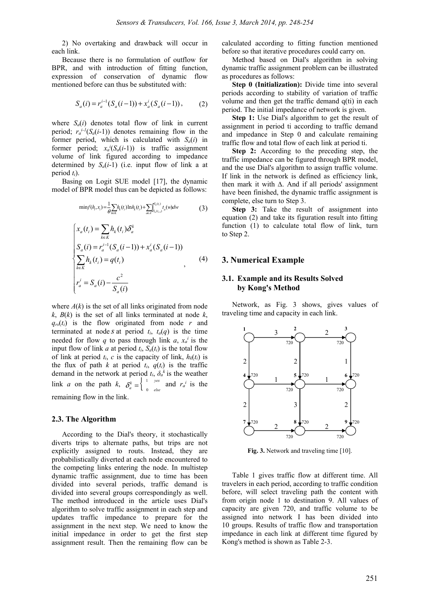2) No overtaking and drawback will occur in each link.

Because there is no formulation of outflow for BPR, and with introduction of fitting function, expression of conservation of dynamic flow mentioned before can thus be substituted with:

$$
S_a(i) = r_a^{i-1}(S_a(i-1)) + x_a^i(S_a(i-1)),
$$
 (2)

where  $S_a(i)$  denotes total flow of link in current period;  $r_a^{i-1}(S_a(i-1))$  denotes remaining flow in the former period, which is calculated with  $S_a(i)$  in former period;  $x_a^i(S_a(i-1))$  is traffic assignment volume of link figured according to impedance determined by  $S_a(i-1)$  (i.e. input flow of link a at period *ti*).

Basing on Logit SUE model [17], the dynamic model of BPR model thus can be depicted as follows:

$$
\min f(h_i, x_i) = \frac{1}{\theta} \sum_{k \in K} h_k(t_i) \ln h_k(t_i) + \sum_{a \in A} \int_{S_a(t_{i+1})}^{S_a(t_i)} t_a(w) dw \tag{3}
$$

$$
\begin{cases}\n x_a(t_i) = \sum_{k \in K} h_k(t_i) \delta_a^k \\
S_a(i) = r_a^{i-1} (S_a(i-1)) + x_a^i (S_a(i-1)) \\
\sum_{k \in K} h_k(t_i) = q(t_i) \\
r_a^i = S_a(i) - \frac{c^2}{S_a(i)}\n\end{cases}
$$
\n(4)

where  $A(k)$  is the set of all links originated from node  $k$ ,  $B(k)$  is the set of all links terminated at node  $k$ ,  $q_{rs}(t_i)$  is the flow originated from node *r* and terminated at node *s* at period  $t_i$ ,  $t_a(q)$  is the time needed for flow *q* to pass through link *a*,  $x_a$ <sup>*i*</sup> is the input flow of link *a* at period  $t_i$ ,  $S_a(t_i)$  is the total flow of link at period  $t_i$ , *c* is the capacity of link,  $h_k(t_i)$  is the flux of path *k* at period  $t_i$ ,  $q(t_i)$  is the traffic demand in the network at period  $t_i$ ,  $\delta_a^k$  is the weather link *a* on the path *k*,  $\delta_a^k = \begin{cases} 1 & \text{yes} \\ 0 & \text{else} \end{cases}$ *k a*  $\delta_a^k = \begin{cases} \frac{1}{a} & \text{yes} \\ 0 & \text{else} \end{cases}$  and  $r_a^i$  is the remaining flow in the link.

#### **2.3. The Algorithm**

According to the Dial's theory, it stochastically diverts trips to alternate paths, but trips are not explicitly assigned to routs. Instead, they are probabilistically diverted at each node encountered to the competing links entering the node. In multistep dynamic traffic assignment, due to time has been divided into several periods, traffic demand is divided into several groups correspondingly as well. The method introduced in the article uses Dial's algorithm to solve traffic assignment in each step and updates traffic impedance to prepare for the assignment in the next step. We need to know the initial impedance in order to get the first step assignment result. Then the remaining flow can be

calculated according to fitting function mentioned before so that iterative procedures could carry on.

Method based on Dial's algorithm in solving dynamic traffic assignment problem can be illustrated as procedures as follows:

**Step 0 (Initialization):** Divide time into several periods according to stability of variation of traffic volume and then get the traffic demand q(ti) in each period. The initial impedance of network is given.

**Step 1:** Use Dial's algorithm to get the result of assignment in period ti according to traffic demand and impedance in Step 0 and calculate remaining traffic flow and total flow of each link at period ti.

**Step 2:** According to the preceding step, the traffic impedance can be figured through BPR model, and the use Dial's algorithm to assign traffic volume. If link in the network is defined as efficiency link, then mark it with ∆. And if all periods' assignment have been finished, the dynamic traffic assignment is complete, else turn to Step 3.

**Step 3:** Take the result of assignment into equation (2) and take its figuration result into fitting function (1) to calculate total flow of link, turn to Step 2.

# **3. Numerical Example**

# **3.1. Example and its Results Solved by Kong's Method**

Network, as Fig. 3 shows, gives values of traveling time and capacity in each link.



**Fig. 3.** Network and traveling time [10].

Table 1 gives traffic flow at different time. All travelers in each period, according to traffic condition before, will select traveling path the content with from origin node 1 to destination 9. All values of capacity are given 720, and traffic volume to be assigned into network I has been divided into 10 groups. Results of traffic flow and transportation impedance in each link at different time figured by Kong's method is shown as Table 2-3.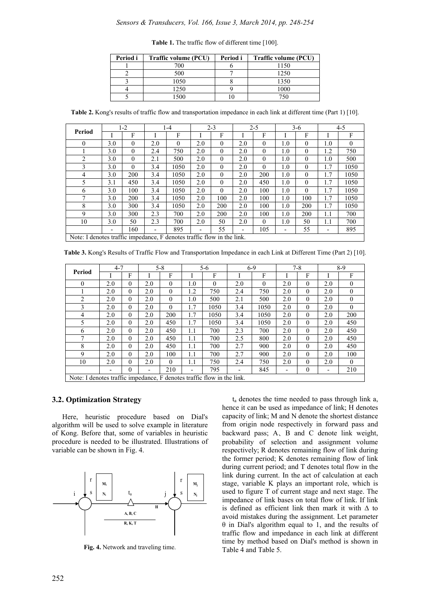| Period i | Traffic volume (PCU) | Period i | <b>Traffic volume (PCU)</b> |
|----------|----------------------|----------|-----------------------------|
|          | 700                  |          | 1150                        |
|          | 500                  |          | 1250                        |
|          | 1050                 |          | 1350                        |
|          | 1250                 |          | 1000                        |
|          | 1500                 |          |                             |

**Table 1.** The traffic flow of different time [100].

**Table 2.** Kong's results of traffic flow and transportation impedance in each link at different time (Part 1) [10].

| Period                                                                 |     | $1 - 2$  | $1 - 4$                  |          |     | $2 - 3$  |     | $2 - 5$  |                          | $3-6$    |         | 4-5      |  |
|------------------------------------------------------------------------|-----|----------|--------------------------|----------|-----|----------|-----|----------|--------------------------|----------|---------|----------|--|
|                                                                        |     | F        |                          | F        |     | F        |     | F        |                          | F        |         | F        |  |
| $\theta$                                                               | 3.0 | $\Omega$ | 2.0                      | $\theta$ | 2.0 | $\theta$ | 2.0 | $\theta$ | 1.0                      | $\theta$ | 1.0     | $\Omega$ |  |
|                                                                        | 3.0 | $\theta$ | 2.4                      | 750      | 2.0 | $\theta$ | 2.0 | $\theta$ | 1.0                      | $\theta$ | 1.2     | 750      |  |
| $\overline{2}$                                                         | 3.0 | $\theta$ | 2.1                      | 500      | 2.0 | $\theta$ | 2.0 | $\theta$ | 1.0                      | $\theta$ | 1.0     | 500      |  |
| 3                                                                      | 3.0 | $\Omega$ | 3.4                      | 1050     | 2.0 | $\theta$ | 2.0 | $\theta$ | 1.0                      | $\theta$ | 1.7     | 1050     |  |
| 4                                                                      | 3.0 | 200      | 3.4                      | 1050     | 2.0 | $\theta$ | 2.0 | 200      | 1.0                      | $\theta$ | 1.7     | 1050     |  |
| 5                                                                      | 3.1 | 450      | 3.4                      | 1050     | 2.0 | $\theta$ | 2.0 | 450      | 1.0                      | $\theta$ | 1.7     | 1050     |  |
| 6                                                                      | 3.0 | 100      | 3.4                      | 1050     | 2.0 | $\Omega$ | 2.0 | 100      | 1.0                      | $\theta$ | 1.7     | 1050     |  |
| 7                                                                      | 3.0 | 200      | 3.4                      | 1050     | 2.0 | 100      | 2.0 | 100      | 1.0                      | 100      | 1.7     | 1050     |  |
| 8                                                                      | 3.0 | 300      | 3.4                      | 1050     | 2.0 | 200      | 2.0 | 100      | 1.0                      | 200      | 1.7     | 1050     |  |
| 9                                                                      | 3.0 | 300      | 2.3                      | 700      | 2.0 | 200      | 2.0 | 100      | 1.0                      | 200      | $1.1\,$ | 700      |  |
| 10                                                                     | 3.0 | 50       | 2.3                      | 700      | 2.0 | 50       | 2.0 | $\theta$ | 1.0                      | 50       | $1.1\,$ | 700      |  |
|                                                                        | ٠   | 160      | $\overline{\phantom{a}}$ | 895      | -   | 55       | -   | 105      | $\overline{\phantom{0}}$ | 55       | -       | 895      |  |
| Note: I denotes traffic impedance, F denotes traffic flow in the link. |     |          |                          |          |     |          |     |          |                          |          |         |          |  |

**Table 3.** Kong's Results of Traffic Flow and Transportation Impedance in each Link at Different Time (Part 2) [10].

| Period                                                                 | $4 - 7$ |          | $5 - 8$                  |          | $5 - 6$ |          | $6-9$ |          | $7 - 8$ |          | $8-9$ |          |
|------------------------------------------------------------------------|---------|----------|--------------------------|----------|---------|----------|-------|----------|---------|----------|-------|----------|
|                                                                        |         | F        |                          | F        |         | F        |       | F        |         | F        |       | F        |
| $\overline{0}$                                                         | 2.0     | $\theta$ | 2.0                      | $\theta$ | 1.0     | $\theta$ | 2.0   | $\theta$ | 2.0     | $\theta$ | 2.0   | $\theta$ |
|                                                                        | 2.0     | $\theta$ | 2.0                      | $\Omega$ | 1.2     | 750      | 2.4   | 750      | 2.0     | $\Omega$ | 2.0   | $\Omega$ |
| 2                                                                      | 2.0     | $\theta$ | 2.0                      | $\theta$ | 1.0     | 500      | 2.1   | 500      | 2.0     | $\theta$ | 2.0   | $\theta$ |
| 3                                                                      | 2.0     | $\theta$ | 2.0                      | $\theta$ | 1.7     | 1050     | 3.4   | 1050     | 2.0     | $\theta$ | 2.0   | $\Omega$ |
| 4                                                                      | 2.0     | $\theta$ | 2.0                      | 200      | 1.7     | 1050     | 3.4   | 1050     | 2.0     | $\theta$ | 2.0   | 200      |
| 5                                                                      | 2.0     | $\theta$ | 2.0                      | 450      | 1.7     | 1050     | 3.4   | 1050     | 2.0     | $\Omega$ | 2.0   | 450      |
| 6                                                                      | 2.0     | $\theta$ | 2.0                      | 450      | 1.1     | 700      | 2.3   | 700      | 2.0     | $\theta$ | 2.0   | 450      |
| 7                                                                      | 2.0     | $\theta$ | 2.0                      | 450      | 1.1     | 700      | 2.5   | 800      | 2.0     | $\theta$ | 2.0   | 450      |
| 8                                                                      | 2.0     | $\theta$ | 2.0                      | 450      | 1.1     | 700      | 2.7   | 900      | 2.0     | $\theta$ | 2.0   | 450      |
| 9                                                                      | 2.0     | $\theta$ | 2.0                      | 100      | 1.1     | 700      | 2.7   | 900      | 2.0     | $\theta$ | 2.0   | 100      |
| 10                                                                     | 2.0     | $\theta$ | 2.0                      | $\theta$ | 1.1     | 750      | 2.4   | 750      | 2.0     | $\theta$ | 2.0   | $\theta$ |
|                                                                        |         | $\theta$ | $\overline{\phantom{0}}$ | 210      | -       | 795      |       | 845      | -       | $\theta$ | -     | 210      |
| Note: I denotes traffic impedance, F denotes traffic flow in the link. |         |          |                          |          |         |          |       |          |         |          |       |          |

## **3.2. Optimization Strategy**

Here, heuristic procedure based on Dial's algorithm will be used to solve example in literature of Kong. Before that, some of variables in heuristic procedure is needed to be illustrated. Illustrations of variable can be shown in Fig. 4.



**Fig. 4.** Network and traveling time.

 $t_a$  denotes the time needed to pass through link a, hence it can be used as impedance of link; H denotes capacity of link; M and N denote the shortest distance from origin node respectively in forward pass and backward pass; A、B and C denote link weight, probability of selection and assignment volume respectively; R denotes remaining flow of link during the former period; K denotes remaining flow of link during current period; and T denotes total flow in the link during current. In the act of calculation at each stage, variable K plays an important role, which is used to figure T of current stage and next stage. The impedance of link bases on total flow of link. If link is defined as efficient link then mark it with ∆ to avoid mistakes during the assignment. Let parameter θ in Dial's algorithm equal to 1, and the results of traffic flow and impedance in each link at different time by method based on Dial's method is shown in Table 4 and Table 5.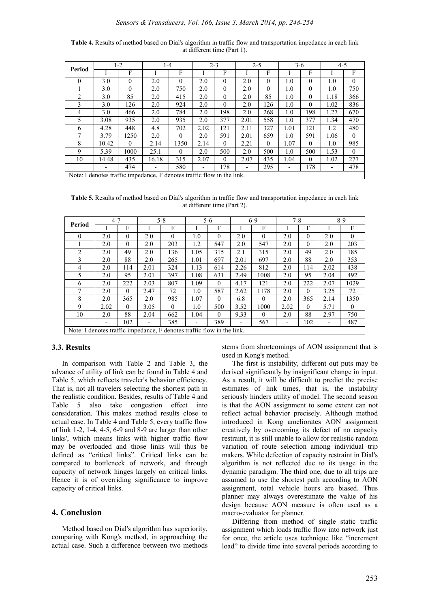| Table 4. Results of method based on Dial's algorithm in traffic flow and transportation impedance in each link |  |
|----------------------------------------------------------------------------------------------------------------|--|
| at different time (Part 1).                                                                                    |  |

|          | $1-2$                    |          | $1 - 4$                                                                |          | $2 - 3$                  |          | $2 - 5$ |          | $3-6$ |          | $4 - 5$ |              |
|----------|--------------------------|----------|------------------------------------------------------------------------|----------|--------------------------|----------|---------|----------|-------|----------|---------|--------------|
| Period   |                          | F        |                                                                        | F        |                          | F        |         | F        |       | F        |         | F            |
| $\theta$ | 3.0                      | $\theta$ | 2.0                                                                    | $\theta$ | 2.0                      | $\theta$ | 2.0     | $\theta$ | 1.0   | 0        | 1.0     | $\mathbf{0}$ |
|          | 3.0                      | $\theta$ | 2.0                                                                    | 750      | 2.0                      | $\theta$ | 2.0     | $\theta$ | 1.0   | $\theta$ | 1.0     | 750          |
| 2        | 3.0                      | 85       | 2.0                                                                    | 415      | 2.0                      | $\theta$ | 2.0     | 85       | 1.0   | 0        | 1.18    | 366          |
| 3        | 3.0                      | 126      | 2.0                                                                    | 924      | 2.0                      | $\Omega$ | 2.0     | 126      | 1.0   | $\Omega$ | 1.02    | 836          |
| 4        | 3.0                      | 466      | 2.0                                                                    | 784      | 2.0                      | 198      | 2.0     | 268      | 1.0   | 198      | 1.27    | 670          |
| 5        | 3.08                     | 935      | 2.0                                                                    | 935      | 2.0                      | 377      | 2.01    | 558      | 1.0   | 377      | 1.34    | 470          |
| 6        | 4.28                     | 448      | 4.8                                                                    | 702      | 2.02                     | 121      | 2.11    | 327      | 1.01  | 121      | 1.2     | 480          |
|          | 3.79                     | 1250     | 2.0                                                                    | $\Omega$ | 2.0                      | 591      | 2.01    | 659      | 1.0   | 591      | 1.06    | $\theta$     |
| 8        | 10.42                    | $\theta$ | 2.14                                                                   | 1350     | 2.14                     | $\theta$ | 2.21    | $\theta$ | 1.07  | $\theta$ | 1.0     | 985          |
| 9        | 5.39                     | 1000     | 25.1                                                                   | $\theta$ | 2.0                      | 500      | 2.0     | 500      | 1.0   | 500      | 1.53    | $\theta$     |
| 10       | 14.48                    | 435      | 16.18                                                                  | 315      | 2.07                     | $\theta$ | 2.07    | 435      | 1.04  | 0        | 1.02    | 277          |
|          | $\overline{\phantom{0}}$ | 474      |                                                                        | 580      | $\overline{\phantom{0}}$ | 178      | -       | 295      | ٠     | 178      | ٠       | 478          |
|          |                          |          | Note: I denotes traffic impedance, F denotes traffic flow in the link. |          |                          |          |         |          |       |          |         |              |

**Table 5.** Results of method based on Dial's algorithm in traffic flow and transportation impedance in each link at different time (Part 2).

| Period                                                                 | $4 - 7$ |          | $5 - 8$ |          |      | 5-6      |      | $6-9$    |      | $7 - 8$  |      | $8-9$    |  |
|------------------------------------------------------------------------|---------|----------|---------|----------|------|----------|------|----------|------|----------|------|----------|--|
|                                                                        |         | F        |         | F        |      | F        |      | F        |      | F        |      | F        |  |
| $\Omega$                                                               | 2.0     | $\theta$ | 2.0     | $\theta$ | 1.0  | $\theta$ | 2.0  | $\theta$ | 2.0  | $\theta$ | 2.0  | $\theta$ |  |
|                                                                        | 2.0     | $\Omega$ | 2.0     | 203      | 1.2  | 547      | 2.0  | 547      | 2.0  | $\theta$ | 2.0  | 203      |  |
| 2                                                                      | 2.0     | 49       | 2.0     | 136      | 1.05 | 315      | 2.1  | 315      | 2.0  | 49       | 2.0  | 185      |  |
| 3                                                                      | 2.0     | 88       | 2.0     | 265      | 1.01 | 697      | 2.01 | 697      | 2.0  | 88       | 2.0  | 353      |  |
| 4                                                                      | 2.0     | 114      | 2.01    | 324      | 1.13 | 614      | 2.26 | 812      | 2.0  | 114      | 2.02 | 438      |  |
| 5.                                                                     | 2.0     | 95       | 2.01    | 397      | 1.08 | 631      | 2.49 | 1008     | 2.0  | 95       | 2.04 | 492      |  |
| 6                                                                      | 2.0     | 222      | 2.03    | 807      | 1.09 | $\theta$ | 4.17 | 121      | 2.0  | 222      | 2.07 | 1029     |  |
| $\mathbf{7}$                                                           | 2.0     | $\theta$ | 2.47    | 72       | 1.0  | 587      | 2.62 | 1178     | 2.0  | $\theta$ | 3.25 | 72       |  |
| 8                                                                      | 2.0     | 365      | 2.0     | 985      | 1.07 | $\Omega$ | 6.8  | $\theta$ | 2.0  | 365      | 2.14 | 1350     |  |
| 9                                                                      | 2.02    | $\theta$ | 3.05    | $\theta$ | 1.0  | 500      | 3.52 | 1000     | 2.02 | $\theta$ | 5.71 | $\theta$ |  |
| 10                                                                     | 2.0     | 88       | 2.04    | 662      | 1.04 | $\theta$ | 9.33 | $\theta$ | 2.0  | 88       | 2.97 | 750      |  |
|                                                                        | ٠       | 102      |         | 385      |      | 389      |      | 567      | ٠    | 102      |      | 487      |  |
| Note: I denotes traffic impedance, F denotes traffic flow in the link. |         |          |         |          |      |          |      |          |      |          |      |          |  |

# **3.3. Results**

In comparison with Table 2 and Table 3, the advance of utility of link can be found in Table 4 and Table 5, which reflects traveler's behavior efficiency. That is, not all travelers selecting the shortest path in the realistic condition. Besides, results of Table 4 and Table 5 also take congestion effect into consideration. This makes method results close to actual case. In Table 4 and Table 5, every traffic flow of link 1-2, 1-4, 4-5, 6-9 and 8-9 are larger than other links', which means links with higher traffic flow may be overloaded and those links will thus be defined as "critical links". Critical links can be compared to bottleneck of network, and through capacity of network hinges largely on critical links. Hence it is of overriding significance to improve capacity of critical links.

## **4. Conclusion**

Method based on Dial's algorithm has superiority, comparing with Kong's method, in approaching the actual case. Such a difference between two methods stems from shortcomings of AON assignment that is used in Kong's method.

The first is instability, different out puts may be derived significantly by insignificant change in input. As a result, it will be difficult to predict the precise estimates of link times, that is, the instability seriously hinders utility of model. The second season is that the AON assignment to some extent can not reflect actual behavior precisely. Although method introduced in Kong ameliorates AON assignment creatively by overcoming its defect of no capacity restraint, it is still unable to allow for realistic random variation of route selection among individual trip makers. While defection of capacity restraint in Dial's algorithm is not reflected due to its usage in the dynamic paradigm. The third one, due to all trips are assumed to use the shortest path according to AON assignment, total vehicle hours are biased. Thus planner may always overestimate the value of his design because AON measure is often used as a macro-evaluator for planner.

Differing from method of single static traffic assignment which loads traffic flow into network just for once, the article uses technique like "increment load" to divide time into several periods according to